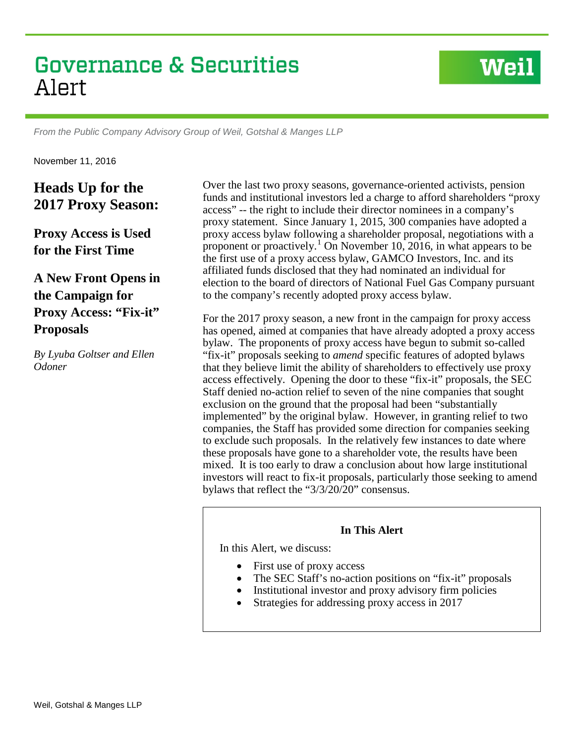# **Governance & Securities** Alert

*From the Public Company Advisory Group of Weil, Gotshal & Manges LLP*

November 11, 2016

**Heads Up for the 2017 Proxy Season:**

**Proxy Access is Used for the First Time**

**A New Front Opens in the Campaign for Proxy Access: "Fix-it" Proposals**

*By Lyuba Goltser and Ellen Odoner* 

Over the last two proxy seasons, governance-oriented activists, pension funds and institutional investors led a charge to afford shareholders "proxy access" -- the right to include their director nominees in a company's proxy statement. Since January 1, 2015, 300 companies have adopted a proxy access bylaw following a shareholder proposal, negotiations with a proponent or proactively.<sup>[1](#page-15-0)</sup> On November 10, 2016, in what appears to be the first use of a proxy access bylaw, GAMCO Investors, Inc. and its affiliated funds disclosed that they had nominated an individual for election to the board of directors of National Fuel Gas Company pursuant to the company's recently adopted proxy access bylaw.

**Weil** 

For the 2017 proxy season, a new front in the campaign for proxy access has opened, aimed at companies that have already adopted a proxy access bylaw. The proponents of proxy access have begun to submit so-called "fix-it" proposals seeking to *amend* specific features of adopted bylaws that they believe limit the ability of shareholders to effectively use proxy access effectively. Opening the door to these "fix-it" proposals, the SEC Staff denied no-action relief to seven of the nine companies that sought exclusion on the ground that the proposal had been "substantially implemented" by the original bylaw. However, in granting relief to two companies, the Staff has provided some direction for companies seeking to exclude such proposals. In the relatively few instances to date where these proposals have gone to a shareholder vote, the results have been mixed. It is too early to draw a conclusion about how large institutional investors will react to fix-it proposals, particularly those seeking to amend bylaws that reflect the "3/3/20/20" consensus.

#### **In This Alert**

In this Alert, we discuss:

- First use of proxy access
- The SEC Staff's no-action positions on "fix-it" proposals
- Institutional investor and proxy advisory firm policies
- Strategies for addressing proxy access in 2017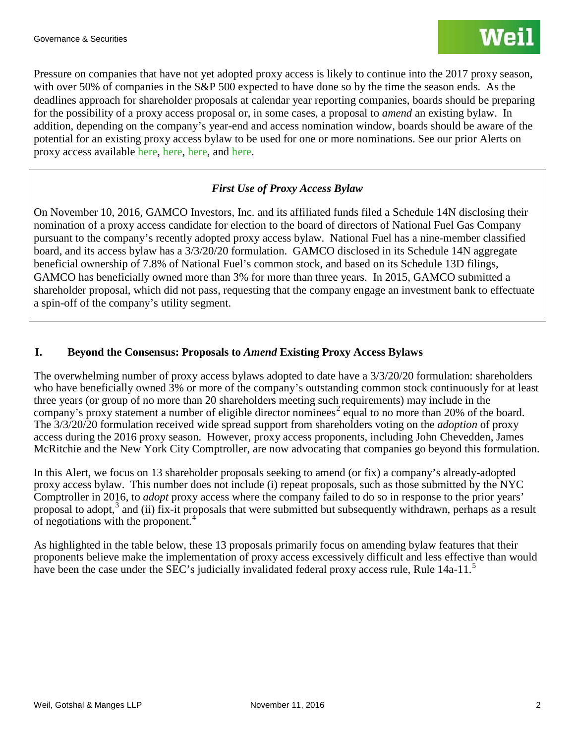Pressure on companies that have not yet adopted proxy access is likely to continue into the 2017 proxy season, with over 50% of companies in the S&P 500 expected to have done so by the time the season ends. As the deadlines approach for shareholder proposals at calendar year reporting companies, boards should be preparing for the possibility of a proxy access proposal or, in some cases, a proposal to *amend* an existing bylaw. In addition, depending on the company's year-end and access nomination window, boards should be aware of the potential for an existing proxy access bylaw to be used for one or more nominations. See our prior Alerts on proxy access available [here,](http://www.weil.com/%7E/media/publications/sec-disclosure-corporate-governance/2016/pcag_alert_aug_11_2016.pdf) [here,](http://www.weil.com/%7E/media/mailings/2016/final-pcag-alert-216.pdf) [here,](http://www.weil.com/%7E/media/files/pdfs/alert--iss-new-faqs-reproxy-access-formatted-versionfinal.pdf) and [here.](http://www.weil.com/%7E/media/files/pdfs/150660_pcag_alert_oct2015_v15_final.pdf)

# *First Use of Proxy Access Bylaw*

On November 10, 2016, GAMCO Investors, Inc. and its affiliated funds filed a Schedule 14N disclosing their nomination of a proxy access candidate for election to the board of directors of National Fuel Gas Company pursuant to the company's recently adopted proxy access bylaw. National Fuel has a nine-member classified board, and its access bylaw has a 3/3/20/20 formulation. GAMCO disclosed in its Schedule 14N aggregate beneficial ownership of 7.8% of National Fuel's common stock, and based on its Schedule 13D filings, GAMCO has beneficially owned more than 3% for more than three years. In 2015, GAMCO submitted a shareholder proposal, which did not pass, requesting that the company engage an investment bank to effectuate a spin-off of the company's utility segment.

# **I. Beyond the Consensus: Proposals to** *Amend* **Existing Proxy Access Bylaws**

The overwhelming number of proxy access bylaws adopted to date have a 3/3/20/20 formulation: shareholders who have beneficially owned 3% or more of the company's outstanding common stock continuously for at least three years (or group of no more than 20 shareholders meeting such requirements) may include in the company's proxy statement a number of eligible director nominess<sup>[2](#page-15-1)</sup> equal to no more than 20% of the board. The 3/3/20/20 formulation received wide spread support from shareholders voting on the *adoption* of proxy access during the 2016 proxy season. However, proxy access proponents, including John Chevedden, James McRitchie and the New York City Comptroller, are now advocating that companies go beyond this formulation.

In this Alert, we focus on 13 shareholder proposals seeking to amend (or fix) a company's already-adopted proxy access bylaw. This number does not include (i) repeat proposals, such as those submitted by the NYC Comptroller in 2016, to *adopt* proxy access where the company failed to do so in response to the prior years' proposal to adopt,<sup>[3](#page-15-2)</sup> and (ii) fix-it proposals that were submitted but subsequently withdrawn, perhaps as a result of negotiations with the proponent.[4](#page-15-3)

As highlighted in the table below, these 13 proposals primarily focus on amending bylaw features that their proponents believe make the implementation of proxy access excessively difficult and less effective than would have been the case under the SEC's judicially invalidated federal proxy access rule, Rule 14a-11.<sup>[5](#page-15-4)</sup>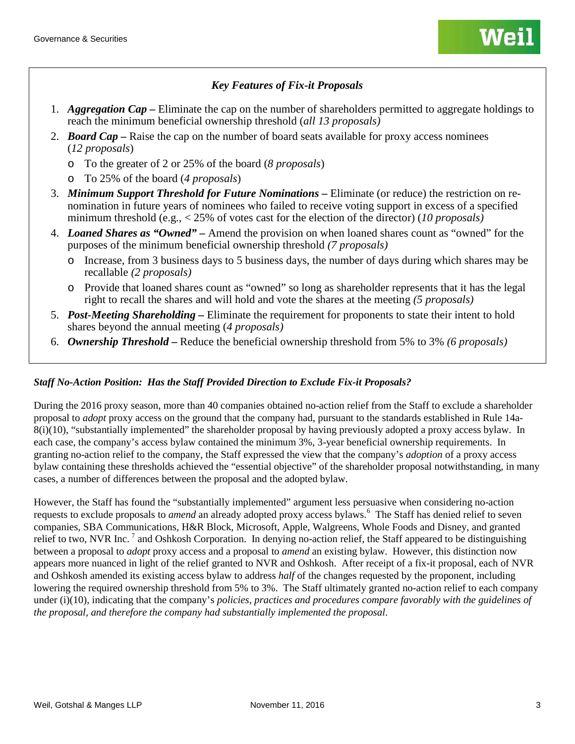# *Key Features of Fix-it Proposals*

- 1. *Aggregation Cap –* Eliminate the cap on the number of shareholders permitted to aggregate holdings to reach the minimum beneficial ownership threshold (*all 13 proposals)*
- 2. *Board Cap –* Raise the cap on the number of board seats available for proxy access nominees (*12 proposals*)
	- o To the greater of 2 or 25% of the board (*8 proposals*)
	- o To 25% of the board (*4 proposals*)
- 3. *Minimum Support Threshold for Future Nominations –* Eliminate (or reduce) the restriction on renomination in future years of nominees who failed to receive voting support in excess of a specified minimum threshold (e.g., < 25% of votes cast for the election of the director) (*10 proposals)*
- 4. *Loaned Shares as "Owned" –* Amend the provision on when loaned shares count as "owned" for the purposes of the minimum beneficial ownership threshold *(7 proposals)*
	- o Increase, from 3 business days to 5 business days, the number of days during which shares may be recallable *(2 proposals)*
	- o Provide that loaned shares count as "owned" so long as shareholder represents that it has the legal right to recall the shares and will hold and vote the shares at the meeting *(5 proposals)*
- 5. *Post-Meeting Shareholding –* Eliminate the requirement for proponents to state their intent to hold shares beyond the annual meeting (*4 proposals)*
- 6. *Ownership Threshold –* Reduce the beneficial ownership threshold from 5% to 3% *(6 proposals)*

## *Staff No-Action Position: Has the Staff Provided Direction to Exclude Fix-it Proposals?*

During the 2016 proxy season, more than 40 companies obtained no-action relief from the Staff to exclude a shareholder proposal to *adopt* proxy access on the ground that the company had, pursuant to the standards established in Rule 14a-8(i)(10), "substantially implemented" the shareholder proposal by having previously adopted a proxy access bylaw. In each case, the company's access bylaw contained the minimum 3%, 3-year beneficial ownership requirements. In granting no-action relief to the company, the Staff expressed the view that the company's *adoption* of a proxy access bylaw containing these thresholds achieved the "essential objective" of the shareholder proposal notwithstanding, in many cases, a number of differences between the proposal and the adopted bylaw.

However, the Staff has found the "substantially implemented" argument less persuasive when considering no-action requests to exclude proposals to *amend* an already adopted proxy access bylaws.<sup>[6](#page-15-5)</sup> The Staff has denied relief to seven companies, SBA Communications, H&R Block, Microsoft, Apple, Walgreens, Whole Foods and Disney, and granted relief to two, NVR Inc.  $^7$  $^7$  and Oshkosh Corporation. In denying no-action relief, the Staff appeared to be distinguishing between a proposal to *adopt* proxy access and a proposal to *amend* an existing bylaw. However, this distinction now appears more nuanced in light of the relief granted to NVR and Oshkosh. After receipt of a fix-it proposal, each of NVR and Oshkosh amended its existing access bylaw to address *half* of the changes requested by the proponent, including lowering the required ownership threshold from 5% to 3%. The Staff ultimately granted no-action relief to each company under (i)(10), indicating that the company's *policies, practices and procedures compare favorably with the guidelines of the proposal, and therefore the company had substantially implemented the proposal*.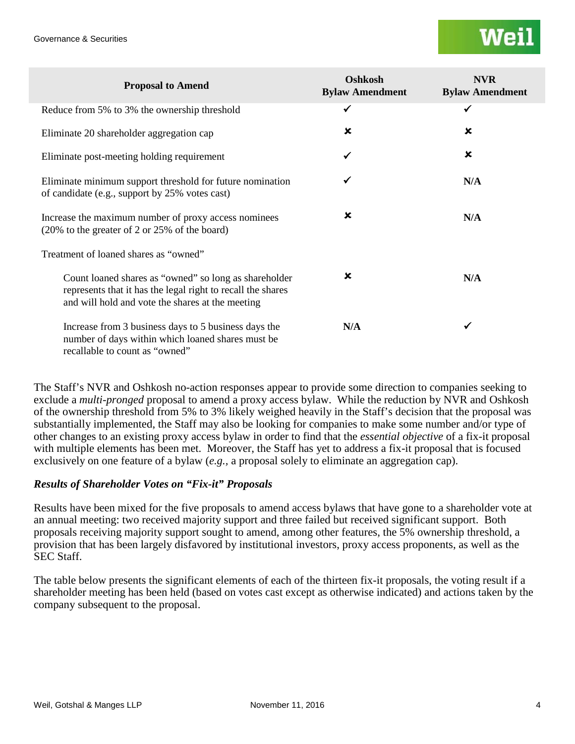| <b>Proposal to Amend</b>                                                                                                                                                 | Oshkosh<br><b>Bylaw Amendment</b> | <b>NVR</b><br><b>Bylaw Amendment</b> |
|--------------------------------------------------------------------------------------------------------------------------------------------------------------------------|-----------------------------------|--------------------------------------|
| Reduce from 5% to 3% the ownership threshold                                                                                                                             | ✓                                 | $\checkmark$                         |
| Eliminate 20 shareholder aggregation cap                                                                                                                                 | ×                                 | ×                                    |
| Eliminate post-meeting holding requirement                                                                                                                               | ✔                                 | $\boldsymbol{\mathsf{x}}$            |
| Eliminate minimum support threshold for future nomination<br>of candidate (e.g., support by 25% votes cast)                                                              | ✓                                 | N/A                                  |
| Increase the maximum number of proxy access nominees<br>(20% to the greater of 2 or 25% of the board)                                                                    | ×                                 | N/A                                  |
| Treatment of loaned shares as "owned"                                                                                                                                    |                                   |                                      |
| Count loaned shares as "owned" so long as shareholder<br>represents that it has the legal right to recall the shares<br>and will hold and vote the shares at the meeting | $\boldsymbol{\mathsf{x}}$         | N/A                                  |
| Increase from 3 business days to 5 business days the<br>number of days within which loaned shares must be<br>recallable to count as "owned"                              | N/A                               | ✔                                    |

The Staff's NVR and Oshkosh no-action responses appear to provide some direction to companies seeking to exclude a *multi-pronged* proposal to amend a proxy access bylaw. While the reduction by NVR and Oshkosh of the ownership threshold from 5% to 3% likely weighed heavily in the Staff's decision that the proposal was substantially implemented, the Staff may also be looking for companies to make some number and/or type of other changes to an existing proxy access bylaw in order to find that the *essential objective* of a fix-it proposal with multiple elements has been met. Moreover, the Staff has yet to address a fix-it proposal that is focused exclusively on one feature of a bylaw (*e.g.,* a proposal solely to eliminate an aggregation cap).

# *Results of Shareholder Votes on "Fix-it" Proposals*

Results have been mixed for the five proposals to amend access bylaws that have gone to a shareholder vote at an annual meeting: two received majority support and three failed but received significant support. Both proposals receiving majority support sought to amend, among other features, the 5% ownership threshold, a provision that has been largely disfavored by institutional investors, proxy access proponents, as well as the SEC Staff.

The table below presents the significant elements of each of the thirteen fix-it proposals, the voting result if a shareholder meeting has been held (based on votes cast except as otherwise indicated) and actions taken by the company subsequent to the proposal.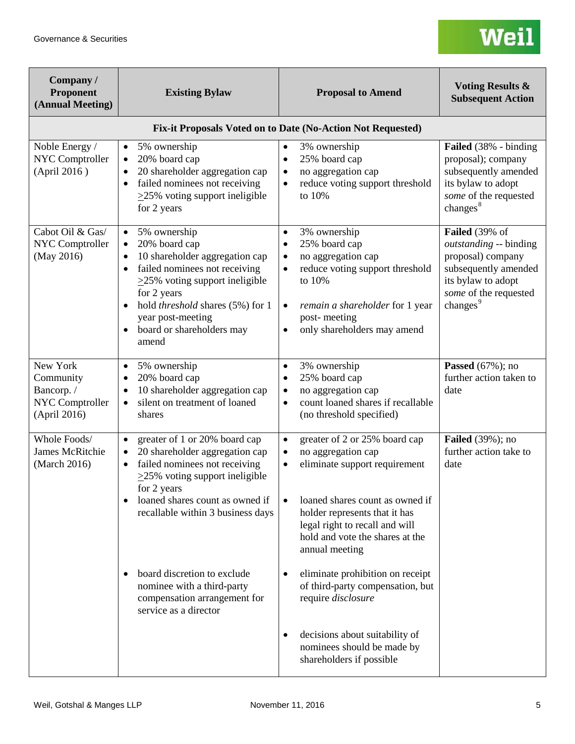| Company /<br>Proponent<br>(Annual Meeting)                                   | <b>Existing Bylaw</b>                                                                                                                                                                                                                                                                                                                | <b>Proposal to Amend</b>                                                                                                                                                                                                                                                               | <b>Voting Results &amp;</b><br><b>Subsequent Action</b>                                                                                                      |
|------------------------------------------------------------------------------|--------------------------------------------------------------------------------------------------------------------------------------------------------------------------------------------------------------------------------------------------------------------------------------------------------------------------------------|----------------------------------------------------------------------------------------------------------------------------------------------------------------------------------------------------------------------------------------------------------------------------------------|--------------------------------------------------------------------------------------------------------------------------------------------------------------|
|                                                                              |                                                                                                                                                                                                                                                                                                                                      | Fix-it Proposals Voted on to Date (No-Action Not Requested)                                                                                                                                                                                                                            |                                                                                                                                                              |
| Noble Energy /<br><b>NYC Comptroller</b><br>(April 2016)                     | 5% ownership<br>$\bullet$<br>20% board cap<br>$\bullet$<br>20 shareholder aggregation cap<br>failed nominees not receiving<br>$\bullet$<br>$\geq$ 25% voting support ineligible<br>for 2 years                                                                                                                                       | 3% ownership<br>$\bullet$<br>25% board cap<br>$\bullet$<br>no aggregation cap<br>$\bullet$<br>reduce voting support threshold<br>to 10%                                                                                                                                                | Failed (38% - binding<br>proposal); company<br>subsequently amended<br>its bylaw to adopt<br>some of the requested<br>changes $8$                            |
| Cabot Oil & Gas/<br><b>NYC Comptroller</b><br>(May 2016)                     | 5% ownership<br>$\bullet$<br>20% board cap<br>$\bullet$<br>10 shareholder aggregation cap<br>$\bullet$<br>failed nominees not receiving<br>$\bullet$<br>$\geq$ 25% voting support ineligible<br>for 2 years<br>hold threshold shares (5%) for 1<br>$\bullet$<br>year post-meeting<br>board or shareholders may<br>$\bullet$<br>amend | 3% ownership<br>$\bullet$<br>25% board cap<br>$\bullet$<br>no aggregation cap<br>$\bullet$<br>reduce voting support threshold<br>to 10%<br>remain a shareholder for 1 year<br>$\bullet$<br>post-meeting<br>only shareholders may amend<br>$\bullet$                                    | Failed (39% of<br>outstanding -- binding<br>proposal) company<br>subsequently amended<br>its bylaw to adopt<br>some of the requested<br>changes <sup>9</sup> |
| New York<br>Community<br>Bancorp./<br><b>NYC Comptroller</b><br>(April 2016) | 5% ownership<br>$\bullet$<br>20% board cap<br>10 shareholder aggregation cap<br>silent on treatment of loaned<br>$\bullet$<br>shares                                                                                                                                                                                                 | 3% ownership<br>$\bullet$<br>25% board cap<br>no aggregation cap<br>$\bullet$<br>count loaned shares if recallable<br>$\bullet$<br>(no threshold specified)                                                                                                                            | <b>Passed</b> (67%); no<br>further action taken to<br>date                                                                                                   |
| Whole Foods/<br><b>James McRitchie</b><br>(March 2016)                       | greater of 1 or 20% board cap<br>20 shareholder aggregation cap<br>failed nominees not receiving<br>$\bullet$<br>$\geq$ 25% voting support ineligible<br>for 2 years<br>loaned shares count as owned if<br>recallable within 3 business days                                                                                         | greater of 2 or 25% board cap<br>$\bullet$<br>no aggregation cap<br>$\bullet$<br>eliminate support requirement<br>$\bullet$<br>loaned shares count as owned if<br>holder represents that it has<br>legal right to recall and will<br>hold and vote the shares at the<br>annual meeting | <b>Failed</b> (39%); no<br>further action take to<br>date                                                                                                    |
|                                                                              | board discretion to exclude<br>nominee with a third-party<br>compensation arrangement for<br>service as a director                                                                                                                                                                                                                   | eliminate prohibition on receipt<br>of third-party compensation, but<br>require disclosure                                                                                                                                                                                             |                                                                                                                                                              |
|                                                                              |                                                                                                                                                                                                                                                                                                                                      | decisions about suitability of<br>nominees should be made by<br>shareholders if possible                                                                                                                                                                                               |                                                                                                                                                              |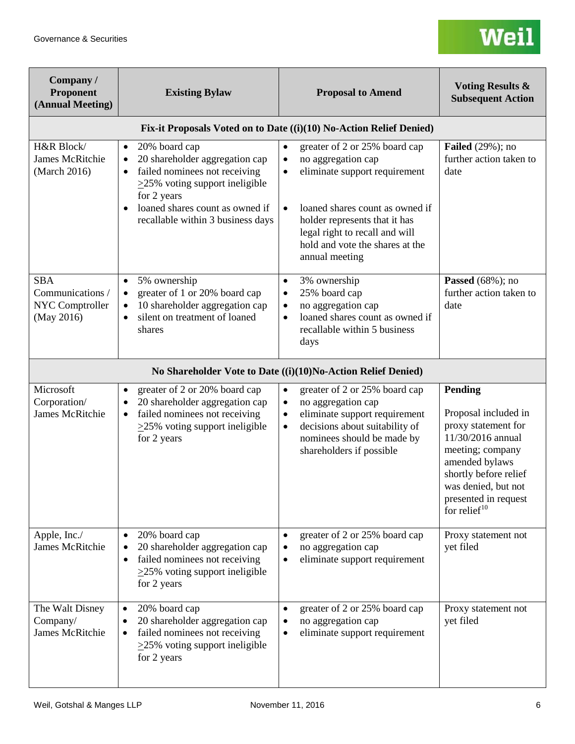| Company /<br>Proponent<br>(Annual Meeting)                      | <b>Existing Bylaw</b>                                                                                                                                                                                                                                  | <b>Proposal to Amend</b>                                                                                                                                                                                                                                                               | <b>Voting Results &amp;</b><br><b>Subsequent Action</b>                                                                                                                                                      |
|-----------------------------------------------------------------|--------------------------------------------------------------------------------------------------------------------------------------------------------------------------------------------------------------------------------------------------------|----------------------------------------------------------------------------------------------------------------------------------------------------------------------------------------------------------------------------------------------------------------------------------------|--------------------------------------------------------------------------------------------------------------------------------------------------------------------------------------------------------------|
|                                                                 |                                                                                                                                                                                                                                                        | Fix-it Proposals Voted on to Date ((i)(10) No-Action Relief Denied)                                                                                                                                                                                                                    |                                                                                                                                                                                                              |
| H&R Block/<br><b>James McRitchie</b><br>(March 2016)            | 20% board cap<br>$\bullet$<br>20 shareholder aggregation cap<br>$\bullet$<br>failed nominees not receiving<br>$\bullet$<br>$\geq$ 25% voting support ineligible<br>for 2 years<br>loaned shares count as owned if<br>recallable within 3 business days | greater of 2 or 25% board cap<br>$\bullet$<br>no aggregation cap<br>$\bullet$<br>eliminate support requirement<br>$\bullet$<br>loaned shares count as owned if<br>holder represents that it has<br>legal right to recall and will<br>hold and vote the shares at the<br>annual meeting | <b>Failed</b> $(29%)$ ; no<br>further action taken to<br>date                                                                                                                                                |
| <b>SBA</b><br>Communications /<br>NYC Comptroller<br>(May 2016) | 5% ownership<br>$\bullet$<br>greater of 1 or 20% board cap<br>$\bullet$<br>10 shareholder aggregation cap<br>$\bullet$<br>silent on treatment of loaned<br>$\bullet$<br>shares                                                                         | 3% ownership<br>$\bullet$<br>25% board cap<br>$\bullet$<br>no aggregation cap<br>$\bullet$<br>loaned shares count as owned if<br>$\bullet$<br>recallable within 5 business<br>days                                                                                                     | <b>Passed</b> (68%); no<br>further action taken to<br>date                                                                                                                                                   |
|                                                                 |                                                                                                                                                                                                                                                        | No Shareholder Vote to Date ((i)(10)No-Action Relief Denied)                                                                                                                                                                                                                           |                                                                                                                                                                                                              |
| Microsoft<br>Corporation/<br><b>James McRitchie</b>             | greater of 2 or 20% board cap<br>$\bullet$<br>20 shareholder aggregation cap<br>$\bullet$<br>failed nominees not receiving<br>$\bullet$<br>$\geq$ 25% voting support ineligible<br>for 2 years                                                         | greater of 2 or 25% board cap<br>$\bullet$<br>no aggregation cap<br>$\bullet$<br>eliminate support requirement<br>$\bullet$<br>decisions about suitability of<br>$\bullet$<br>nominees should be made by<br>shareholders if possible                                                   | Pending<br>Proposal included in<br>proxy statement for<br>11/30/2016 annual<br>meeting; company<br>amended bylaws<br>shortly before relief<br>was denied, but not<br>presented in request<br>for relief $10$ |
| Apple, Inc./<br><b>James McRitchie</b>                          | 20% board cap<br>20 shareholder aggregation cap<br>failed nominees not receiving<br>$\bullet$<br>$\geq$ 25% voting support ineligible<br>for 2 years                                                                                                   | greater of 2 or 25% board cap<br>$\bullet$<br>no aggregation cap<br>eliminate support requirement<br>$\bullet$                                                                                                                                                                         | Proxy statement not<br>yet filed                                                                                                                                                                             |
| The Walt Disney<br>Company/<br><b>James McRitchie</b>           | 20% board cap<br>$\bullet$<br>20 shareholder aggregation cap<br>failed nominees not receiving<br>$\bullet$<br>$\geq$ 25% voting support ineligible<br>for 2 years                                                                                      | greater of 2 or 25% board cap<br>$\bullet$<br>no aggregation cap<br>eliminate support requirement<br>$\bullet$                                                                                                                                                                         | Proxy statement not<br>yet filed                                                                                                                                                                             |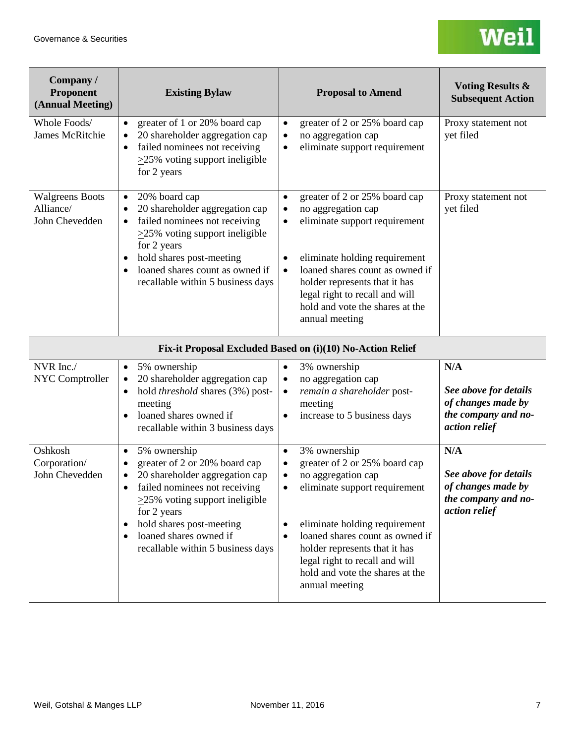| Company /<br>Proponent<br>(Annual Meeting)            | <b>Existing Bylaw</b>                                                                                                                                                                                                                                                           | <b>Proposal to Amend</b>                                                                                                                                                                                                                                                                                                   | <b>Voting Results &amp;</b><br><b>Subsequent Action</b>                                    |
|-------------------------------------------------------|---------------------------------------------------------------------------------------------------------------------------------------------------------------------------------------------------------------------------------------------------------------------------------|----------------------------------------------------------------------------------------------------------------------------------------------------------------------------------------------------------------------------------------------------------------------------------------------------------------------------|--------------------------------------------------------------------------------------------|
| Whole Foods/<br>James McRitchie                       | greater of 1 or 20% board cap<br>$\bullet$<br>20 shareholder aggregation cap<br>failed nominees not receiving<br>٠<br>$\geq$ 25% voting support ineligible<br>for 2 years                                                                                                       | greater of 2 or 25% board cap<br>$\bullet$<br>no aggregation cap<br>$\bullet$<br>eliminate support requirement<br>٠                                                                                                                                                                                                        | Proxy statement not<br>yet filed                                                           |
| <b>Walgreens Boots</b><br>Alliance/<br>John Chevedden | 20% board cap<br>$\bullet$<br>20 shareholder aggregation cap<br>failed nominees not receiving<br>$\bullet$<br>$\geq$ 25% voting support ineligible<br>for 2 years<br>hold shares post-meeting<br>loaned shares count as owned if<br>recallable within 5 business days           | greater of 2 or 25% board cap<br>$\bullet$<br>no aggregation cap<br>$\bullet$<br>eliminate support requirement<br>eliminate holding requirement<br>loaned shares count as owned if<br>$\bullet$<br>holder represents that it has<br>legal right to recall and will<br>hold and vote the shares at the<br>annual meeting    | Proxy statement not<br>yet filed                                                           |
|                                                       |                                                                                                                                                                                                                                                                                 | Fix-it Proposal Excluded Based on (i)(10) No-Action Relief                                                                                                                                                                                                                                                                 |                                                                                            |
| NVR Inc./<br><b>NYC Comptroller</b>                   | 5% ownership<br>$\bullet$<br>20 shareholder aggregation cap<br>٠<br>hold threshold shares (3%) post-<br>meeting<br>loaned shares owned if<br>$\bullet$<br>recallable within 3 business days                                                                                     | 3% ownership<br>٠<br>no aggregation cap<br>$\bullet$<br>remain a shareholder post-<br>meeting<br>increase to 5 business days                                                                                                                                                                                               | N/A<br>See above for details<br>of changes made by<br>the company and no-<br>action relief |
| Oshkosh<br>Corporation/<br>John Chevedden             | 5% ownership<br>$\bullet$<br>greater of 2 or 20% board cap<br>20 shareholder aggregation cap<br>failed nominees not receiving<br>$\geq$ 25% voting support ineligible<br>for 2 years<br>hold shares post-meeting<br>loaned shares owned if<br>recallable within 5 business days | 3% ownership<br>$\bullet$<br>greater of 2 or 25% board cap<br>$\bullet$<br>no aggregation cap<br>eliminate support requirement<br>eliminate holding requirement<br>loaned shares count as owned if<br>holder represents that it has<br>legal right to recall and will<br>hold and vote the shares at the<br>annual meeting | N/A<br>See above for details<br>of changes made by<br>the company and no-<br>action relief |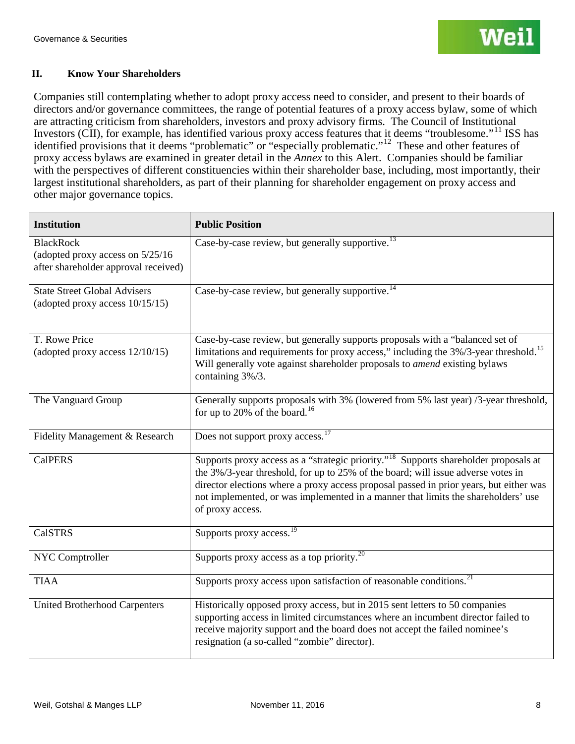#### **II. Know Your Shareholders**

Companies still contemplating whether to adopt proxy access need to consider, and present to their boards of directors and/or governance committees, the range of potential features of a proxy access bylaw, some of which are attracting criticism from shareholders, investors and proxy advisory firms. The Council of Institutional Investors (CII), for example, has identified various proxy access features that it deems "troublesome."[11](#page-15-10) ISS has identified provisions that it deems "problematic" or "especially problematic."<sup>12</sup> These and other features of proxy access bylaws are examined in greater detail in the *Annex* to this Alert. Companies should be familiar with the perspectives of different constituencies within their shareholder base, including, most importantly, their largest institutional shareholders, as part of their planning for shareholder engagement on proxy access and other major governance topics.

| <b>Institution</b>                                                                           | <b>Public Position</b>                                                                                                                                                                                                                                                                                                                                                                  |
|----------------------------------------------------------------------------------------------|-----------------------------------------------------------------------------------------------------------------------------------------------------------------------------------------------------------------------------------------------------------------------------------------------------------------------------------------------------------------------------------------|
| <b>BlackRock</b><br>(adopted proxy access on 5/25/16<br>after shareholder approval received) | Case-by-case review, but generally supportive. <sup>13</sup>                                                                                                                                                                                                                                                                                                                            |
| <b>State Street Global Advisers</b><br>(adopted proxy access 10/15/15)                       | Case-by-case review, but generally supportive. <sup>14</sup>                                                                                                                                                                                                                                                                                                                            |
| T. Rowe Price<br>(adopted proxy access 12/10/15)                                             | Case-by-case review, but generally supports proposals with a "balanced set of<br>limitations and requirements for proxy access," including the 3%/3-year threshold. <sup>15</sup><br>Will generally vote against shareholder proposals to amend existing bylaws<br>containing 3%/3.                                                                                                     |
| The Vanguard Group                                                                           | Generally supports proposals with 3% (lowered from 5% last year) /3-year threshold,<br>for up to 20% of the board. <sup>16</sup>                                                                                                                                                                                                                                                        |
| Fidelity Management & Research                                                               | Does not support proxy access. <sup>17</sup>                                                                                                                                                                                                                                                                                                                                            |
| <b>CalPERS</b>                                                                               | Supports proxy access as a "strategic priority." <sup>18</sup> Supports shareholder proposals at<br>the 3%/3-year threshold, for up to 25% of the board; will issue adverse votes in<br>director elections where a proxy access proposal passed in prior years, but either was<br>not implemented, or was implemented in a manner that limits the shareholders' use<br>of proxy access. |
| <b>CalSTRS</b>                                                                               | Supports proxy access. <sup>19</sup>                                                                                                                                                                                                                                                                                                                                                    |
| NYC Comptroller                                                                              | Supports proxy access as a top priority. <sup>20</sup>                                                                                                                                                                                                                                                                                                                                  |
| <b>TIAA</b>                                                                                  | Supports proxy access upon satisfaction of reasonable conditions. <sup>21</sup>                                                                                                                                                                                                                                                                                                         |
| <b>United Brotherhood Carpenters</b>                                                         | Historically opposed proxy access, but in 2015 sent letters to 50 companies<br>supporting access in limited circumstances where an incumbent director failed to<br>receive majority support and the board does not accept the failed nominee's<br>resignation (a so-called "zombie" director).                                                                                          |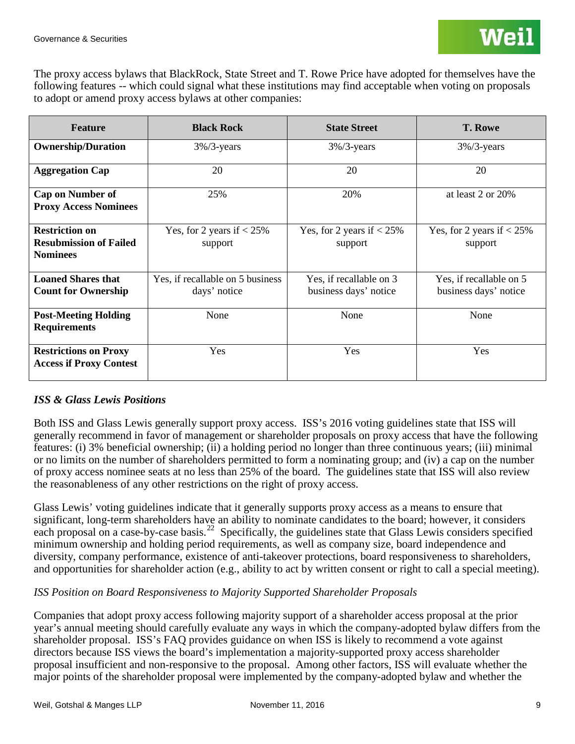The proxy access bylaws that BlackRock, State Street and T. Rowe Price have adopted for themselves have the following features -- which could signal what these institutions may find acceptable when voting on proposals to adopt or amend proxy access bylaws at other companies:

| <b>Feature</b>                                                            | <b>Black Rock</b>                                | <b>State Street</b>                              | <b>T. Rowe</b>                                   |  |
|---------------------------------------------------------------------------|--------------------------------------------------|--------------------------------------------------|--------------------------------------------------|--|
| <b>Ownership/Duration</b>                                                 | $3\%/3$ -years                                   | $3\%/3$ -years                                   | $3\%/3$ -years                                   |  |
| 20<br><b>Aggregation Cap</b>                                              |                                                  | 20                                               | 20                                               |  |
| <b>Cap on Number of</b><br>25%<br><b>Proxy Access Nominees</b>            |                                                  | 20%                                              | at least $2$ or $20\%$                           |  |
| <b>Restriction on</b><br><b>Resubmission of Failed</b><br><b>Nominees</b> | Yes, for 2 years if $< 25\%$<br>support          | Yes, for 2 years if $< 25\%$<br>support          | Yes, for 2 years if $< 25\%$<br>support          |  |
| <b>Loaned Shares that</b><br><b>Count for Ownership</b>                   | Yes, if recallable on 5 business<br>days' notice | Yes, if recallable on 3<br>business days' notice | Yes, if recallable on 5<br>business days' notice |  |
| <b>Post-Meeting Holding</b><br><b>Requirements</b>                        | None                                             | None                                             | None                                             |  |
| <b>Restrictions on Proxy</b><br><b>Access if Proxy Contest</b>            | Yes                                              | Yes                                              | Yes                                              |  |

## *ISS & Glass Lewis Positions*

Both ISS and Glass Lewis generally support proxy access. ISS's 2016 voting guidelines state that ISS will generally recommend in favor of management or shareholder proposals on proxy access that have the following features: (i) 3% beneficial ownership; (ii) a holding period no longer than three continuous years; (iii) minimal or no limits on the number of shareholders permitted to form a nominating group; and (iv) a cap on the number of proxy access nominee seats at no less than 25% of the board. The guidelines state that ISS will also review the reasonableness of any other restrictions on the right of proxy access.

Glass Lewis' voting guidelines indicate that it generally supports proxy access as a means to ensure that significant, long-term shareholders have an ability to nominate candidates to the board; however, it considers each proposal on a case-by-case basis.<sup>22</sup> Specifically, the guidelines state that Glass Lewis considers specified minimum ownership and holding period requirements, as well as company size, board independence and diversity, company performance, existence of anti-takeover protections, board responsiveness to shareholders, and opportunities for shareholder action (e.g., ability to act by written consent or right to call a special meeting).

## *ISS Position on Board Responsiveness to Majority Supported Shareholder Proposals*

Companies that adopt proxy access following majority support of a shareholder access proposal at the prior year's annual meeting should carefully evaluate any ways in which the company-adopted bylaw differs from the shareholder proposal. ISS's FAQ provides guidance on when ISS is likely to recommend a vote against directors because ISS views the board's implementation a majority-supported proxy access shareholder proposal insufficient and non-responsive to the proposal. Among other factors, ISS will evaluate whether the major points of the shareholder proposal were implemented by the company-adopted bylaw and whether the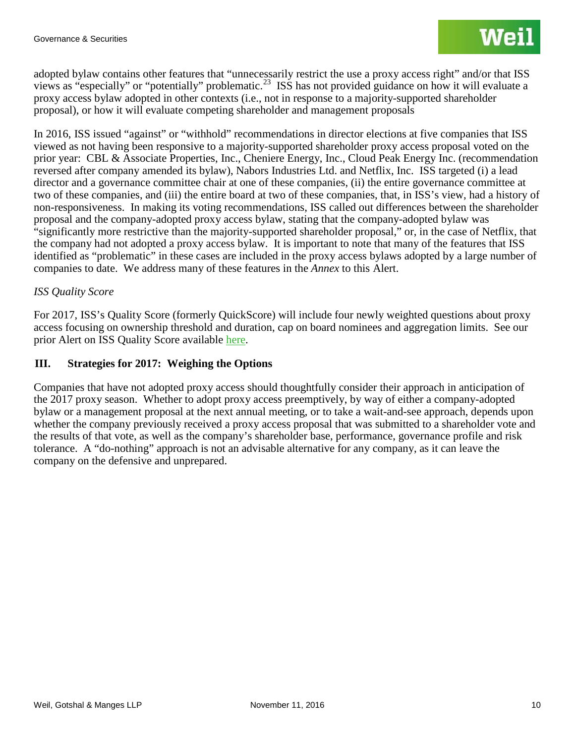adopted bylaw contains other features that "unnecessarily restrict the use a proxy access right" and/or that ISS views as "especially" or "potentially" problematic.<sup>23</sup> ISS has not provided guidance on how it will evaluate a proxy access bylaw adopted in other contexts (i.e., not in response to a majority-supported shareholder proposal), or how it will evaluate competing shareholder and management proposals

In 2016, ISS issued "against" or "withhold" recommendations in director elections at five companies that ISS viewed as not having been responsive to a majority-supported shareholder proxy access proposal voted on the prior year: CBL & Associate Properties, Inc., Cheniere Energy, Inc., Cloud Peak Energy Inc. (recommendation reversed after company amended its bylaw), Nabors Industries Ltd. and Netflix, Inc. ISS targeted (i) a lead director and a governance committee chair at one of these companies, (ii) the entire governance committee at two of these companies, and (iii) the entire board at two of these companies, that, in ISS's view, had a history of non-responsiveness. In making its voting recommendations, ISS called out differences between the shareholder proposal and the company-adopted proxy access bylaw, stating that the company-adopted bylaw was "significantly more restrictive than the majority-supported shareholder proposal," or, in the case of Netflix, that the company had not adopted a proxy access bylaw. It is important to note that many of the features that ISS identified as "problematic" in these cases are included in the proxy access bylaws adopted by a large number of companies to date. We address many of these features in the *Annex* to this Alert.

## *ISS Quality Score*

For 2017, ISS's Quality Score (formerly QuickScore) will include four newly weighted questions about proxy access focusing on ownership threshold and duration, cap on board nominees and aggregation limits. See our prior Alert on ISS Quality Score available [here.](http://www.weil.com/articles/heads-up-for-the-2017-proxy-season-verify-your-iss-qualityscore-formerly-quickscore-data-now)

## **III. Strategies for 2017: Weighing the Options**

Companies that have not adopted proxy access should thoughtfully consider their approach in anticipation of the 2017 proxy season. Whether to adopt proxy access preemptively, by way of either a company-adopted bylaw or a management proposal at the next annual meeting, or to take a wait-and-see approach, depends upon whether the company previously received a proxy access proposal that was submitted to a shareholder vote and the results of that vote, as well as the company's shareholder base, performance, governance profile and risk tolerance. A "do-nothing" approach is not an advisable alternative for any company, as it can leave the company on the defensive and unprepared.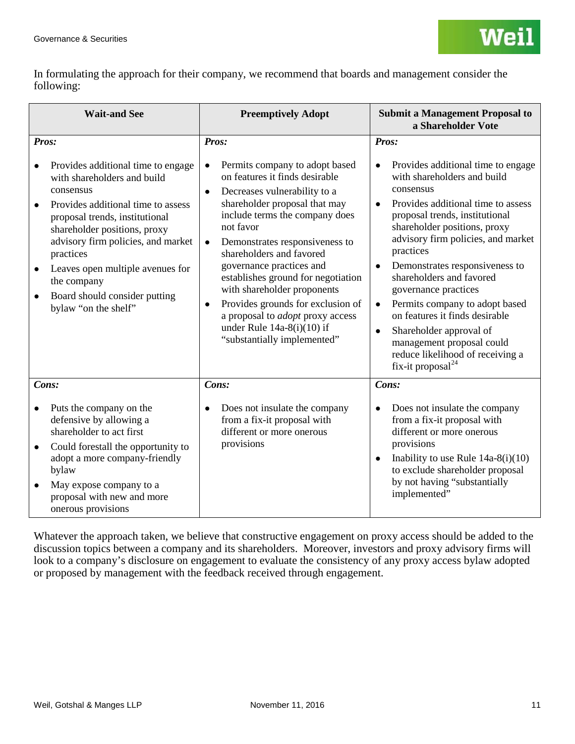In formulating the approach for their company, we recommend that boards and management consider the following:

| <b>Wait-and See</b>                                                                                                                                                                                                                                                                                                                                   | <b>Preemptively Adopt</b>                                                                                                                                                                                                                                                                                                                                                                                                                                                                                                                          | <b>Submit a Management Proposal to</b><br>a Shareholder Vote                                                                                                                                                                                                                                                                                                                                                                                                                                                                                                      |
|-------------------------------------------------------------------------------------------------------------------------------------------------------------------------------------------------------------------------------------------------------------------------------------------------------------------------------------------------------|----------------------------------------------------------------------------------------------------------------------------------------------------------------------------------------------------------------------------------------------------------------------------------------------------------------------------------------------------------------------------------------------------------------------------------------------------------------------------------------------------------------------------------------------------|-------------------------------------------------------------------------------------------------------------------------------------------------------------------------------------------------------------------------------------------------------------------------------------------------------------------------------------------------------------------------------------------------------------------------------------------------------------------------------------------------------------------------------------------------------------------|
| Pros:                                                                                                                                                                                                                                                                                                                                                 | Pros:                                                                                                                                                                                                                                                                                                                                                                                                                                                                                                                                              | Pros:                                                                                                                                                                                                                                                                                                                                                                                                                                                                                                                                                             |
| Provides additional time to engage<br>with shareholders and build<br>consensus<br>Provides additional time to assess<br>proposal trends, institutional<br>shareholder positions, proxy<br>advisory firm policies, and market<br>practices<br>Leaves open multiple avenues for<br>the company<br>Board should consider putting<br>bylaw "on the shelf" | Permits company to adopt based<br>$\bullet$<br>on features it finds desirable<br>Decreases vulnerability to a<br>$\bullet$<br>shareholder proposal that may<br>include terms the company does<br>not favor<br>Demonstrates responsiveness to<br>$\bullet$<br>shareholders and favored<br>governance practices and<br>establishes ground for negotiation<br>with shareholder proponents<br>Provides grounds for exclusion of<br>$\bullet$<br>a proposal to <i>adopt</i> proxy access<br>under Rule $14a-8(i)(10)$ if<br>"substantially implemented" | Provides additional time to engage<br>with shareholders and build<br>consensus<br>Provides additional time to assess<br>proposal trends, institutional<br>shareholder positions, proxy<br>advisory firm policies, and market<br>practices<br>Demonstrates responsiveness to<br>$\bullet$<br>shareholders and favored<br>governance practices<br>Permits company to adopt based<br>$\bullet$<br>on features it finds desirable<br>Shareholder approval of<br>$\bullet$<br>management proposal could<br>reduce likelihood of receiving a<br>fix-it proposal $^{24}$ |
| Cons:                                                                                                                                                                                                                                                                                                                                                 | Cons:                                                                                                                                                                                                                                                                                                                                                                                                                                                                                                                                              | Cons:                                                                                                                                                                                                                                                                                                                                                                                                                                                                                                                                                             |
| Puts the company on the<br>$\bullet$<br>defensive by allowing a<br>shareholder to act first<br>Could forestall the opportunity to<br>$\bullet$<br>adopt a more company-friendly<br>bylaw<br>May expose company to a<br>proposal with new and more                                                                                                     | Does not insulate the company<br>$\bullet$<br>from a fix-it proposal with<br>different or more onerous<br>provisions                                                                                                                                                                                                                                                                                                                                                                                                                               | Does not insulate the company<br>from a fix-it proposal with<br>different or more onerous<br>provisions<br>Inability to use Rule $14a-8(i)(10)$<br>$\bullet$<br>to exclude shareholder proposal<br>by not having "substantially<br>implemented"                                                                                                                                                                                                                                                                                                                   |
| onerous provisions                                                                                                                                                                                                                                                                                                                                    |                                                                                                                                                                                                                                                                                                                                                                                                                                                                                                                                                    |                                                                                                                                                                                                                                                                                                                                                                                                                                                                                                                                                                   |

Whatever the approach taken, we believe that constructive engagement on proxy access should be added to the discussion topics between a company and its shareholders. Moreover, investors and proxy advisory firms will look to a company's disclosure on engagement to evaluate the consistency of any proxy access bylaw adopted or proposed by management with the feedback received through engagement.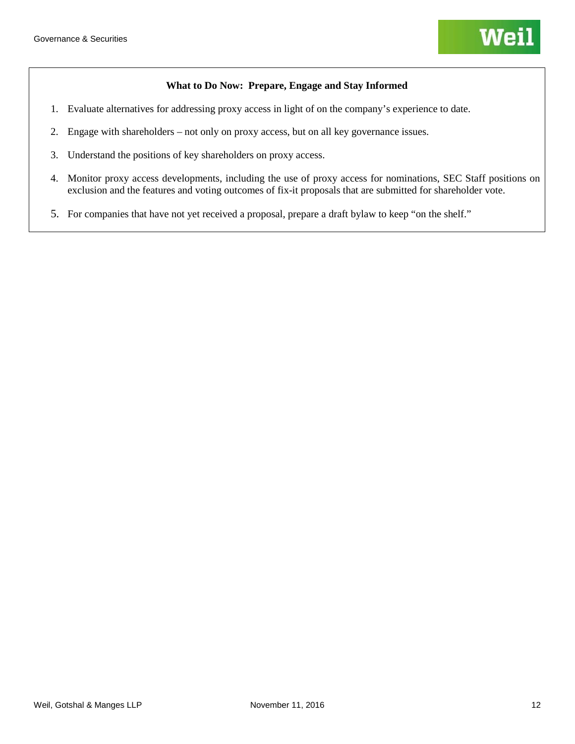#### **What to Do Now: Prepare, Engage and Stay Informed**

- 1. Evaluate alternatives for addressing proxy access in light of on the company's experience to date.
- 2. Engage with shareholders not only on proxy access, but on all key governance issues.
- 3. Understand the positions of key shareholders on proxy access.
- 4. Monitor proxy access developments, including the use of proxy access for nominations, SEC Staff positions on exclusion and the features and voting outcomes of fix-it proposals that are submitted for shareholder vote.
- 5. For companies that have not yet received a proposal, prepare a draft bylaw to keep "on the shelf."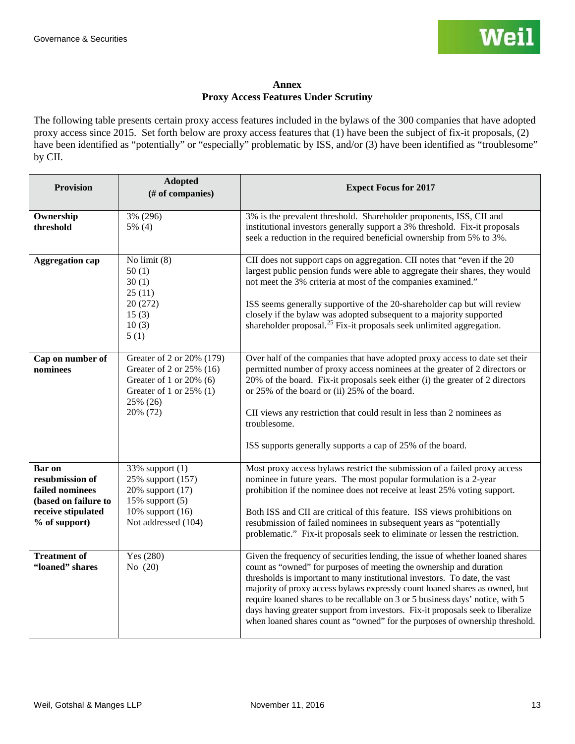#### **Annex Proxy Access Features Under Scrutiny**

The following table presents certain proxy access features included in the bylaws of the 300 companies that have adopted proxy access since 2015. Set forth below are proxy access features that (1) have been the subject of fix-it proposals, (2) have been identified as "potentially" or "especially" problematic by ISS, and/or (3) have been identified as "troublesome" by CII.

| <b>Provision</b>                                                                                                   | <b>Adopted</b><br>(# of companies)                                                                                                     | <b>Expect Focus for 2017</b>                                                                                                                                                                                                                                                                                                                                                                                                                                                                                                                                           |
|--------------------------------------------------------------------------------------------------------------------|----------------------------------------------------------------------------------------------------------------------------------------|------------------------------------------------------------------------------------------------------------------------------------------------------------------------------------------------------------------------------------------------------------------------------------------------------------------------------------------------------------------------------------------------------------------------------------------------------------------------------------------------------------------------------------------------------------------------|
| Ownership<br>threshold                                                                                             | 3% (296)<br>$5\%$ (4)                                                                                                                  | 3% is the prevalent threshold. Shareholder proponents, ISS, CII and<br>institutional investors generally support a 3% threshold. Fix-it proposals<br>seek a reduction in the required beneficial ownership from 5% to 3%.                                                                                                                                                                                                                                                                                                                                              |
| <b>Aggregation cap</b>                                                                                             | No limit $(8)$<br>50(1)<br>30(1)<br>25(11)<br>20 (272)<br>15(3)<br>10(3)<br>5(1)                                                       | CII does not support caps on aggregation. CII notes that "even if the 20<br>largest public pension funds were able to aggregate their shares, they would<br>not meet the 3% criteria at most of the companies examined."<br>ISS seems generally supportive of the 20-shareholder cap but will review<br>closely if the bylaw was adopted subsequent to a majority supported<br>shareholder proposal. <sup>25</sup> Fix-it proposals seek unlimited aggregation.                                                                                                        |
| Cap on number of<br>nominees                                                                                       | Greater of 2 or 20% (179)<br>Greater of 2 or 25% (16)<br>Greater of 1 or 20% (6)<br>Greater of 1 or $25\%$ (1)<br>25% (26)<br>20% (72) | Over half of the companies that have adopted proxy access to date set their<br>permitted number of proxy access nominees at the greater of 2 directors or<br>20% of the board. Fix-it proposals seek either (i) the greater of 2 directors<br>or 25% of the board or (ii) 25% of the board.<br>CII views any restriction that could result in less than 2 nominees as<br>troublesome.<br>ISS supports generally supports a cap of 25% of the board.                                                                                                                    |
| <b>Bar</b> on<br>resubmission of<br>failed nominees<br>(based on failure to<br>receive stipulated<br>% of support) | 33% support (1)<br>25% support (157)<br>20% support (17)<br>15% support $(5)$<br>10% support (16)<br>Not addressed (104)               | Most proxy access bylaws restrict the submission of a failed proxy access<br>nominee in future years. The most popular formulation is a 2-year<br>prohibition if the nominee does not receive at least 25% voting support.<br>Both ISS and CII are critical of this feature. ISS views prohibitions on<br>resubmission of failed nominees in subsequent years as "potentially<br>problematic." Fix-it proposals seek to eliminate or lessen the restriction.                                                                                                           |
| <b>Treatment of</b><br>"loaned" shares                                                                             | Yes (280)<br>No (20)                                                                                                                   | Given the frequency of securities lending, the issue of whether loaned shares<br>count as "owned" for purposes of meeting the ownership and duration<br>thresholds is important to many institutional investors. To date, the vast<br>majority of proxy access bylaws expressly count loaned shares as owned, but<br>require loaned shares to be recallable on 3 or 5 business days' notice, with 5<br>days having greater support from investors. Fix-it proposals seek to liberalize<br>when loaned shares count as "owned" for the purposes of ownership threshold. |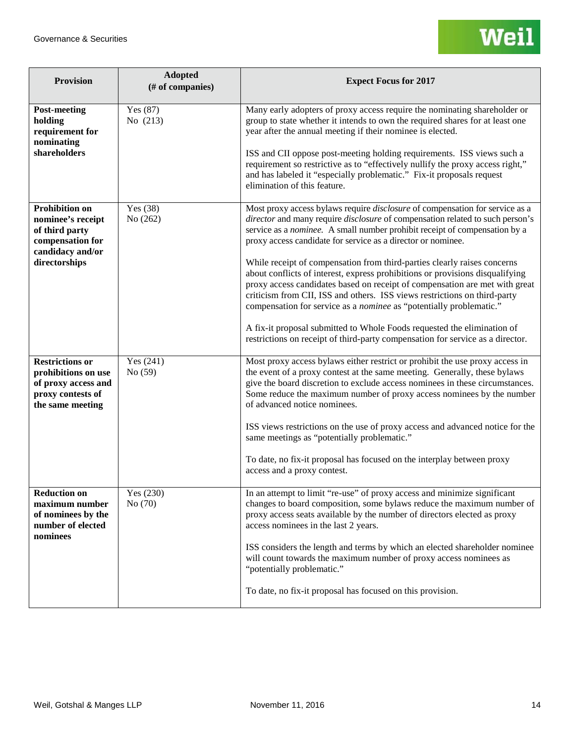| <b>Provision</b>                                                                                                      | <b>Adopted</b><br>(# of companies) | <b>Expect Focus for 2017</b>                                                                                                                                                                                                                                                                                                                                                                                                                                                                                                                                                                                                                                                                                                                                                                                                                                                    |
|-----------------------------------------------------------------------------------------------------------------------|------------------------------------|---------------------------------------------------------------------------------------------------------------------------------------------------------------------------------------------------------------------------------------------------------------------------------------------------------------------------------------------------------------------------------------------------------------------------------------------------------------------------------------------------------------------------------------------------------------------------------------------------------------------------------------------------------------------------------------------------------------------------------------------------------------------------------------------------------------------------------------------------------------------------------|
| <b>Post-meeting</b><br>holding<br>requirement for<br>nominating<br>shareholders                                       | Yes $(87)$<br>No (213)             | Many early adopters of proxy access require the nominating shareholder or<br>group to state whether it intends to own the required shares for at least one<br>year after the annual meeting if their nominee is elected.<br>ISS and CII oppose post-meeting holding requirements. ISS views such a<br>requirement so restrictive as to "effectively nullify the proxy access right,"<br>and has labeled it "especially problematic." Fix-it proposals request<br>elimination of this feature.                                                                                                                                                                                                                                                                                                                                                                                   |
| <b>Prohibition on</b><br>nominee's receipt<br>of third party<br>compensation for<br>candidacy and/or<br>directorships | Yes (38)<br>No (262)               | Most proxy access bylaws require <i>disclosure</i> of compensation for service as a<br>director and many require disclosure of compensation related to such person's<br>service as a nominee. A small number prohibit receipt of compensation by a<br>proxy access candidate for service as a director or nominee.<br>While receipt of compensation from third-parties clearly raises concerns<br>about conflicts of interest, express prohibitions or provisions disqualifying<br>proxy access candidates based on receipt of compensation are met with great<br>criticism from CII, ISS and others. ISS views restrictions on third-party<br>compensation for service as a nominee as "potentially problematic."<br>A fix-it proposal submitted to Whole Foods requested the elimination of<br>restrictions on receipt of third-party compensation for service as a director. |
| <b>Restrictions or</b><br>prohibitions on use<br>of proxy access and<br>proxy contests of<br>the same meeting         | Yes $(241)$<br>No (59)             | Most proxy access bylaws either restrict or prohibit the use proxy access in<br>the event of a proxy contest at the same meeting. Generally, these bylaws<br>give the board discretion to exclude access nominees in these circumstances.<br>Some reduce the maximum number of proxy access nominees by the number<br>of advanced notice nominees.<br>ISS views restrictions on the use of proxy access and advanced notice for the<br>same meetings as "potentially problematic."<br>To date, no fix-it proposal has focused on the interplay between proxy<br>access and a proxy contest.                                                                                                                                                                                                                                                                                     |
| <b>Reduction on</b><br>maximum number<br>of nominees by the<br>number of elected<br>nominees                          | Yes (230)<br>No $(70)$             | In an attempt to limit "re-use" of proxy access and minimize significant<br>changes to board composition, some bylaws reduce the maximum number of<br>proxy access seats available by the number of directors elected as proxy<br>access nominees in the last 2 years.<br>ISS considers the length and terms by which an elected shareholder nominee<br>will count towards the maximum number of proxy access nominees as<br>"potentially problematic."<br>To date, no fix-it proposal has focused on this provision.                                                                                                                                                                                                                                                                                                                                                           |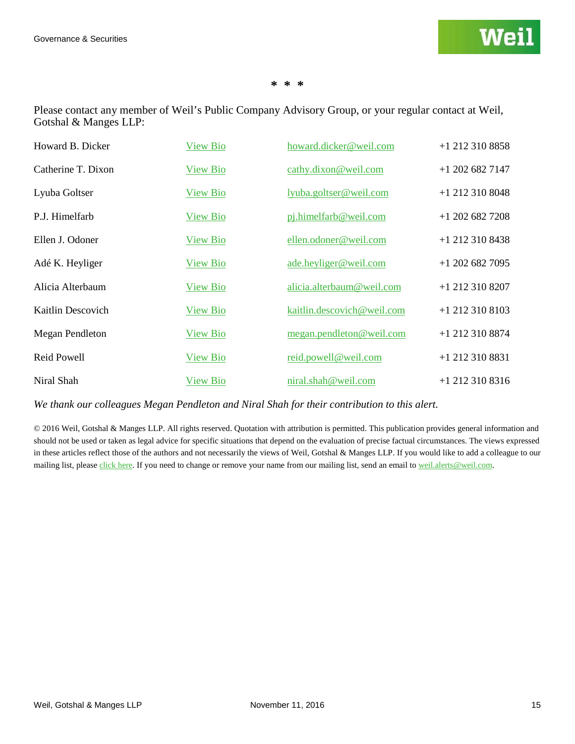#### **\* \* \***

Please contact any member of Weil's Public Company Advisory Group, or your regular contact at Weil, Gotshal & Manges LLP:

| Howard B. Dicker   | <b>View Bio</b> | howard.dicker@weil.com     | $+1$ 212 310 8858 |
|--------------------|-----------------|----------------------------|-------------------|
| Catherine T. Dixon | <b>View Bio</b> | cathy.dixon@weil.com       | $+1$ 202 682 7147 |
| Lyuba Goltser      | View Bio        | lyuba.goltser@weil.com     | $+1$ 212 310 8048 |
| P.J. Himelfarb     | <b>View Bio</b> | pj.himelfarb@weil.com      | $+1$ 202 682 7208 |
| Ellen J. Odoner    | <b>View Bio</b> | ellen.odoner@weil.com      | $+1$ 212 310 8438 |
| Adé K. Heyliger    | <b>View Bio</b> | ade.heyliger@weil.com      | $+1$ 202 682 7095 |
| Alicia Alterbaum   | <b>View Bio</b> | alicia.alterbaum@weil.com  | $+1$ 212 310 8207 |
| Kaitlin Descovich  | <b>View Bio</b> | kaitlin.descovich@weil.com | $+1$ 212 310 8103 |
| Megan Pendleton    | <b>View Bio</b> | megan.pendleton@weil.com   | $+1$ 212 310 8874 |
| <b>Reid Powell</b> | <b>View Bio</b> | reid.powell@weil.com       | +1 212 310 8831   |
| Niral Shah         | <b>View Bio</b> | niral.shah@weil.com        | $+1$ 212 310 8316 |

*We thank our colleagues Megan Pendleton and Niral Shah for their contribution to this alert.*

© 2016 Weil, Gotshal & Manges LLP. All rights reserved. Quotation with attribution is permitted. This publication provides general information and should not be used or taken as legal advice for specific situations that depend on the evaluation of precise factual circumstances. The views expressed in these articles reflect those of the authors and not necessarily the views of Weil, Gotshal & Manges LLP. If you would like to add a colleague to our mailing list, please [click here.](http://www.weil.com/subscription) If you need to change or remove your name from our mailing list, send an email t[o weil.alerts@weil.com.](mailto:weil.alerts@weil.com)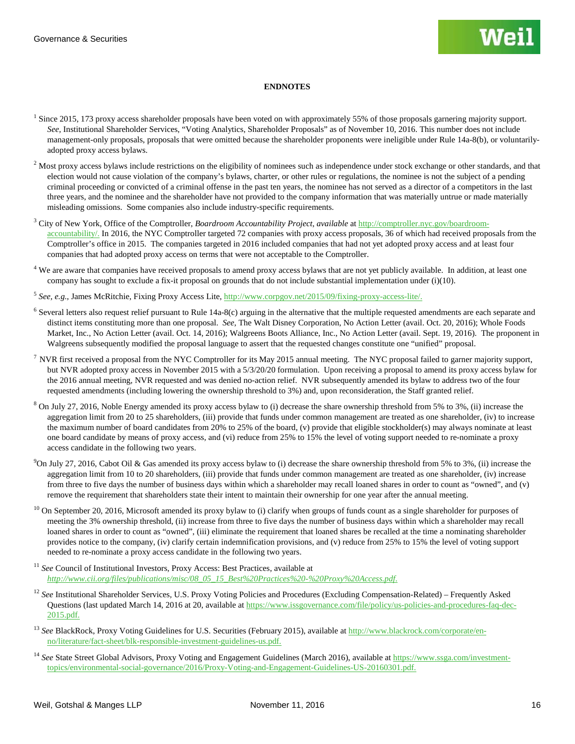#### **ENDNOTES**

- <span id="page-15-16"></span><span id="page-15-15"></span><span id="page-15-14"></span><span id="page-15-0"></span><sup>1</sup> Since 2015, 173 proxy access shareholder proposals have been voted on with approximately 55% of those proposals garnering majority support. *See,* Institutional Shareholder Services, "Voting Analytics, Shareholder Proposals" as of November 10, 2016. This number does not include management-only proposals, proposals that were omitted because the shareholder proponents were ineligible under Rule 14a-8(b), or voluntarilyadopted proxy access bylaws.
- <span id="page-15-17"></span><span id="page-15-1"></span><sup>2</sup> Most proxy access bylaws include restrictions on the eligibility of nominees such as independence under stock exchange or other standards, and that election would not cause violation of the company's bylaws, charter, or other rules or regulations, the nominee is not the subject of a pending criminal proceeding or convicted of a criminal offense in the past ten years, the nominee has not served as a director of a competitors in the last three years, and the nominee and the shareholder have not provided to the company information that was materially untrue or made materially misleading omissions. Some companies also include industry-specific requirements.
- <span id="page-15-20"></span><span id="page-15-19"></span><span id="page-15-18"></span><span id="page-15-2"></span><sup>3</sup> City of New York, Office of the Comptroller, *Boardroom Accountability Project*, *available* a[t http://comptroller.nyc.gov/boardroom](http://comptroller.nyc.gov/boardroom-accountability/)[accountability/.](http://comptroller.nyc.gov/boardroom-accountability/) In 2016, the NYC Comptroller targeted 72 companies with proxy access proposals, 36 of which had received proposals from the Comptroller's office in 2015. The companies targeted in 2016 included companies that had not yet adopted proxy access and at least four companies that had adopted proxy access on terms that were not acceptable to the Comptroller.
- <span id="page-15-21"></span><span id="page-15-3"></span><sup>4</sup> We are aware that companies have received proposals to amend proxy access bylaws that are not yet publicly available. In addition, at least one company has sought to exclude a fix-it proposal on grounds that do not include substantial implementation under (i)(10).
- <span id="page-15-22"></span><span id="page-15-4"></span><sup>5</sup> *See, e.g.*, James McRitchie, Fixing Proxy Access Lite[, http://www.corpgov.net/2015/09/fixing-proxy-access-lite/.](http://www.corpgov.net/2015/09/fixing-proxy-access-lite/)
- <span id="page-15-23"></span><span id="page-15-5"></span> $6$  Several letters also request relief pursuant to Rule 14a-8(c) arguing in the alternative that the multiple requested amendments are each separate and distinct items constituting more than one proposal. *See,* The Walt Disney Corporation, No Action Letter (avail. Oct. 20, 2016); Whole Foods Market, Inc., No Action Letter (avail. Oct. 14, 2016); Walgreens Boots Alliance, Inc., No Action Letter (avail. Sept. 19, 2016). The proponent in Walgreens subsequently modified the proposal language to assert that the requested changes constitute one "unified" proposal.
- <span id="page-15-24"></span><span id="page-15-6"></span><sup>7</sup> NVR first received a proposal from the NYC Comptroller for its May 2015 annual meeting. The NYC proposal failed to garner majority support, but NVR adopted proxy access in November 2015 with a 5/3/20/20 formulation. Upon receiving a proposal to amend its proxy access bylaw for the 2016 annual meeting, NVR requested and was denied no-action relief. NVR subsequently amended its bylaw to address two of the four requested amendments (including lowering the ownership threshold to 3%) and, upon reconsideration, the Staff granted relief.
- <span id="page-15-7"></span> $8$  On July 27, 2016, Noble Energy amended its proxy access bylaw to (i) decrease the share ownership threshold from 5% to 3%, (ii) increase the aggregation limit from 20 to 25 shareholders, (iii) provide that funds under common management are treated as one shareholder, (iv) to increase the maximum number of board candidates from 20% to 25% of the board, (v) provide that eligible stockholder(s) may always nominate at least one board candidate by means of proxy access, and (vi) reduce from 25% to 15% the level of voting support needed to re-nominate a proxy access candidate in the following two years.
- <span id="page-15-8"></span> $9$ On July 27, 2016, Cabot Oil & Gas amended its proxy access bylaw to (i) decrease the share ownership threshold from 5% to 3%, (ii) increase the aggregation limit from 10 to 20 shareholders, (iii) provide that funds under common management are treated as one shareholder, (iv) increase from three to five days the number of business days within which a shareholder may recall loaned shares in order to count as "owned", and (v) remove the requirement that shareholders state their intent to maintain their ownership for one year after the annual meeting.
- <span id="page-15-9"></span><sup>10</sup> On September 20, 2016, Microsoft amended its proxy bylaw to (i) clarify when groups of funds count as a single shareholder for purposes of meeting the 3% ownership threshold, (ii) increase from three to five days the number of business days within which a shareholder may recall loaned shares in order to count as "owned", (iii) eliminate the requirement that loaned shares be recalled at the time a nominating shareholder provides notice to the company, (iv) clarify certain indemnification provisions, and (v) reduce from 25% to 15% the level of voting support needed to re-nominate a proxy access candidate in the following two years.
- <span id="page-15-10"></span><sup>11</sup> See Council of Institutional Investors, Proxy Access: Best Practices, available at *[http://www.cii.org/files/publications/misc/08\\_05\\_15\\_Best%20Practices%20-%20Proxy%20Access.pdf](http://www.cii.org/files/publications/misc/08_05_15_Best%20Practices%20-%20Proxy%20Access.pdf)*.
- <span id="page-15-11"></span><sup>12</sup> *See* Institutional Shareholder Services*,* U.S. Proxy Voting Policies and Procedures (Excluding Compensation-Related) – Frequently Asked Questions (last updated March 14, 2016 at 20, available a[t https://www.issgovernance.com/file/policy/us-policies-and-procedures-faq-dec-](https://www.issgovernance.com/file/policy/us-policies-and-procedures-faq-dec-2015.pdf)[2015.pdf.](https://www.issgovernance.com/file/policy/us-policies-and-procedures-faq-dec-2015.pdf)
- <span id="page-15-12"></span><sup>13</sup> See BlackRock, Proxy Voting Guidelines for U.S. Securities (February 2015), available at [http://www.blackrock.com/corporate/en](http://www.blackrock.com/corporate/en-no/literature/fact-sheet/blk-responsible-investment-guidelines-us.pdf)[no/literature/fact-sheet/blk-responsible-investment-guidelines-us.pdf.](http://www.blackrock.com/corporate/en-no/literature/fact-sheet/blk-responsible-investment-guidelines-us.pdf)
- <span id="page-15-13"></span><sup>14</sup> See State Street Global Advisors, Proxy Voting and Engagement Guidelines (March 2016), available a[t https://www.ssga.com/investment](https://www.ssga.com/investment-topics/environmental-social-governance/2016/Proxy-Voting-and-Engagement-Guidelines-US-20160301.pdf)[topics/environmental-social-governance/2016/Proxy-Voting-and-Engagement-Guidelines-US-20160301.pdf.](https://www.ssga.com/investment-topics/environmental-social-governance/2016/Proxy-Voting-and-Engagement-Guidelines-US-20160301.pdf)